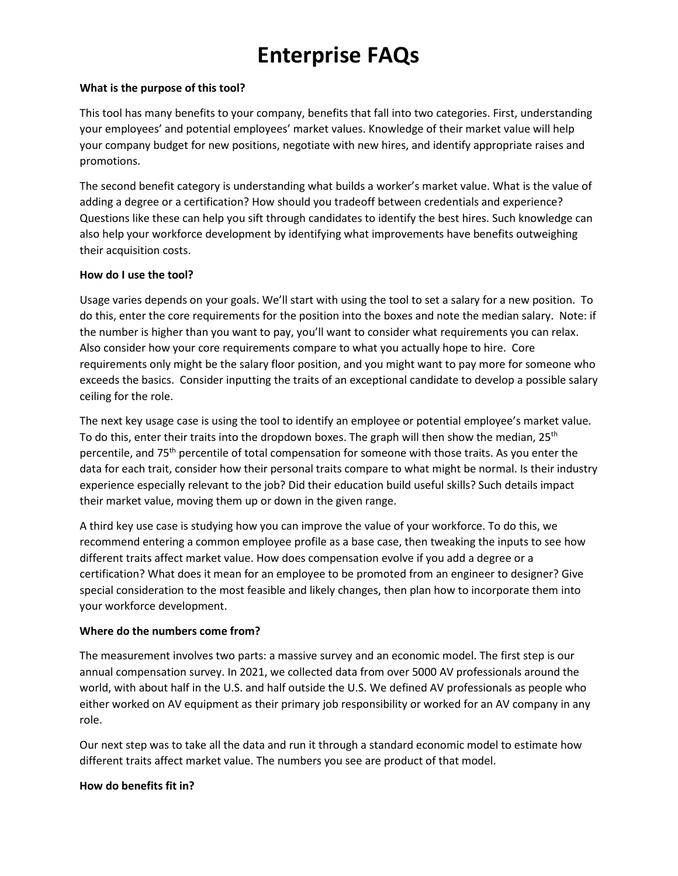# **Enterprise FAQs**

## **What is the purpose of this tool?**

This tool has many benefits to your company, benefits that fall into two categories. First, understanding your employees' and potential employees' market values. Knowledge of their market value will help your company budget for new positions, negotiate with new hires, and identify appropriate raises and promotions.

The second benefit category is understanding what builds a worker's market value. What is the value of adding a degree or a certification? How should you tradeoff between credentials and experience? Questions like these can help you sift through candidates to identify the best hires. Such knowledge can also help your workforce development by identifying what improvements have benefits outweighing their acquisition costs.

# **How do I use the tool?**

Usage varies depends on your goals. We'll start with using the tool to set a salary for a new position. To do this, enter the core requirements for the position into the boxes and note the median salary. Note: if the number is higher than you want to pay, you'll want to consider what requirements you can relax. Also consider how your core requirements compare to what you actually hope to hire. Core requirements only might be the salary floor position, and you might want to pay more for someone who exceeds the basics. Consider inputting the traits of an exceptional candidate to develop a possible salary ceiling for the role.

The next key usage case is using the tool to identify an employee or potential employee's market value. To do this, enter their traits into the dropdown boxes. The graph will then show the median,  $25<sup>th</sup>$ percentile, and 75th percentile of total compensation for someone with those traits. As you enter the data for each trait, consider how their personal traits compare to what might be normal. Is their industry experience especially relevant to the job? Did their education build useful skills? Such details impact their market value, moving them up or down in the given range.

A third key use case is studying how you can improve the value of your workforce. To do this, we recommend entering a common employee profile as a base case, then tweaking the inputs to see how different traits affect market value. How does compensation evolve if you add a degree or a certification? What does it mean for an employee to be promoted from an engineer to designer? Give special consideration to the most feasible and likely changes, then plan how to incorporate them into your workforce development.

## **Where do the numbers come from?**

The measurement involves two parts: a massive survey and an economic model. The first step is our annual compensation survey. In 2021, we collected data from over 5000 AV professionals around the world, with about half in the U.S. and half outside the U.S. We defined AV professionals as people who either worked on AV equipment as their primary job responsibility or worked for an AV company in any role.

Our next step was to take all the data and run it through a standard economic model to estimate how different traits affect market value. The numbers you see are product of that model.

## **How do benefits fit in?**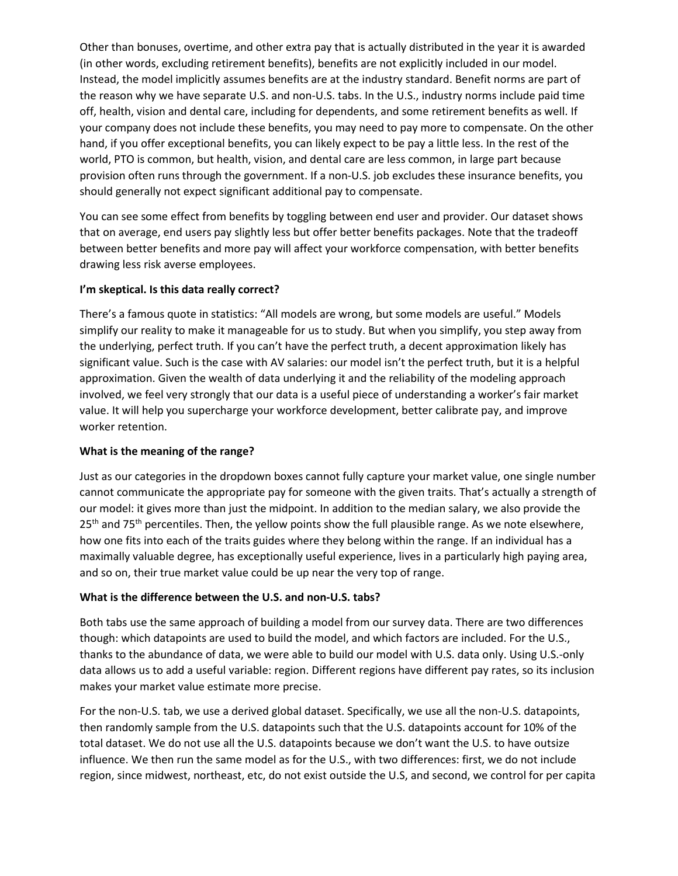Other than bonuses, overtime, and other extra pay that is actually distributed in the year it is awarded (in other words, excluding retirement benefits), benefits are not explicitly included in our model. Instead, the model implicitly assumes benefits are at the industry standard. Benefit norms are part of the reason why we have separate U.S. and non-U.S. tabs. In the U.S., industry norms include paid time off, health, vision and dental care, including for dependents, and some retirement benefits as well. If your company does not include these benefits, you may need to pay more to compensate. On the other hand, if you offer exceptional benefits, you can likely expect to be pay a little less. In the rest of the world, PTO is common, but health, vision, and dental care are less common, in large part because provision often runs through the government. If a non-U.S. job excludes these insurance benefits, you should generally not expect significant additional pay to compensate.

You can see some effect from benefits by toggling between end user and provider. Our dataset shows that on average, end users pay slightly less but offer better benefits packages. Note that the tradeoff between better benefits and more pay will affect your workforce compensation, with better benefits drawing less risk averse employees.

# **I'm skeptical. Is this data really correct?**

There's a famous quote in statistics: "All models are wrong, but some models are useful." Models simplify our reality to make it manageable for us to study. But when you simplify, you step away from the underlying, perfect truth. If you can't have the perfect truth, a decent approximation likely has significant value. Such is the case with AV salaries: our model isn't the perfect truth, but it is a helpful approximation. Given the wealth of data underlying it and the reliability of the modeling approach involved, we feel very strongly that our data is a useful piece of understanding a worker's fair market value. It will help you supercharge your workforce development, better calibrate pay, and improve worker retention.

## **What is the meaning of the range?**

Just as our categories in the dropdown boxes cannot fully capture your market value, one single number cannot communicate the appropriate pay for someone with the given traits. That's actually a strength of our model: it gives more than just the midpoint. In addition to the median salary, we also provide the  $25<sup>th</sup>$  and 75<sup>th</sup> percentiles. Then, the yellow points show the full plausible range. As we note elsewhere, how one fits into each of the traits guides where they belong within the range. If an individual has a maximally valuable degree, has exceptionally useful experience, lives in a particularly high paying area, and so on, their true market value could be up near the very top of range.

## **What is the difference between the U.S. and non-U.S. tabs?**

Both tabs use the same approach of building a model from our survey data. There are two differences though: which datapoints are used to build the model, and which factors are included. For the U.S., thanks to the abundance of data, we were able to build our model with U.S. data only. Using U.S.-only data allows us to add a useful variable: region. Different regions have different pay rates, so its inclusion makes your market value estimate more precise.

For the non-U.S. tab, we use a derived global dataset. Specifically, we use all the non-U.S. datapoints, then randomly sample from the U.S. datapoints such that the U.S. datapoints account for 10% of the total dataset. We do not use all the U.S. datapoints because we don't want the U.S. to have outsize influence. We then run the same model as for the U.S., with two differences: first, we do not include region, since midwest, northeast, etc, do not exist outside the U.S, and second, we control for per capita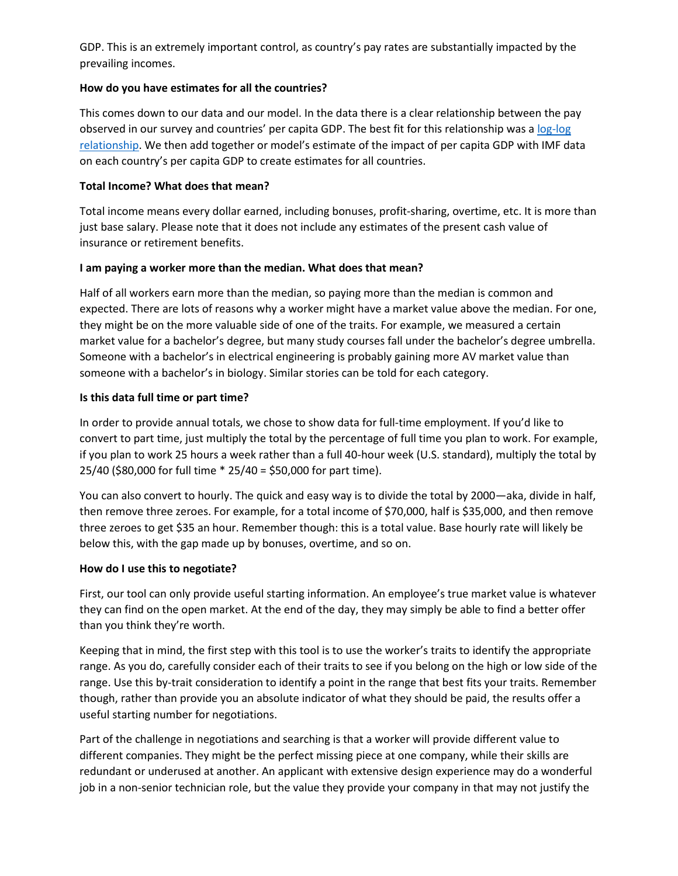GDP. This is an extremely important control, as country's pay rates are substantially impacted by the prevailing incomes.

# **How do you have estimates for all the countries?**

This comes down to our data and our model. In the data there is a clear relationship between the pay observed in our survey and countries' per capita GDP. The best fit for this relationship was a [log-log](https://www.dummies.com/education/economics/econometrics/econometrics-and-the-log-log-model/)  [relationship.](https://www.dummies.com/education/economics/econometrics/econometrics-and-the-log-log-model/) We then add together or model's estimate of the impact of per capita GDP with IMF data on each country's per capita GDP to create estimates for all countries.

# **Total Income? What does that mean?**

Total income means every dollar earned, including bonuses, profit-sharing, overtime, etc. It is more than just base salary. Please note that it does not include any estimates of the present cash value of insurance or retirement benefits.

# **I am paying a worker more than the median. What does that mean?**

Half of all workers earn more than the median, so paying more than the median is common and expected. There are lots of reasons why a worker might have a market value above the median. For one, they might be on the more valuable side of one of the traits. For example, we measured a certain market value for a bachelor's degree, but many study courses fall under the bachelor's degree umbrella. Someone with a bachelor's in electrical engineering is probably gaining more AV market value than someone with a bachelor's in biology. Similar stories can be told for each category.

# **Is this data full time or part time?**

In order to provide annual totals, we chose to show data for full-time employment. If you'd like to convert to part time, just multiply the total by the percentage of full time you plan to work. For example, if you plan to work 25 hours a week rather than a full 40-hour week (U.S. standard), multiply the total by 25/40 (\$80,000 for full time \* 25/40 = \$50,000 for part time).

You can also convert to hourly. The quick and easy way is to divide the total by 2000—aka, divide in half, then remove three zeroes. For example, for a total income of \$70,000, half is \$35,000, and then remove three zeroes to get \$35 an hour. Remember though: this is a total value. Base hourly rate will likely be below this, with the gap made up by bonuses, overtime, and so on.

## **How do I use this to negotiate?**

First, our tool can only provide useful starting information. An employee's true market value is whatever they can find on the open market. At the end of the day, they may simply be able to find a better offer than you think they're worth.

Keeping that in mind, the first step with this tool is to use the worker's traits to identify the appropriate range. As you do, carefully consider each of their traits to see if you belong on the high or low side of the range. Use this by-trait consideration to identify a point in the range that best fits your traits. Remember though, rather than provide you an absolute indicator of what they should be paid, the results offer a useful starting number for negotiations.

Part of the challenge in negotiations and searching is that a worker will provide different value to different companies. They might be the perfect missing piece at one company, while their skills are redundant or underused at another. An applicant with extensive design experience may do a wonderful job in a non-senior technician role, but the value they provide your company in that may not justify the